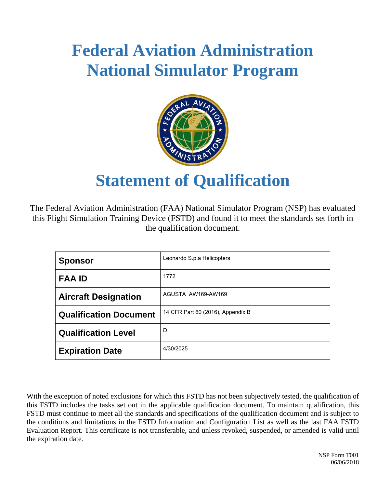

# **Statement of Qualification**

The Federal Aviation Administration (FAA) National Simulator Program (NSP) has evaluated this Flight Simulation Training Device (FSTD) and found it to meet the standards set forth in the qualification document.

| <b>Sponsor</b>                | Leonardo S.p.a Helicopters        |
|-------------------------------|-----------------------------------|
| <b>FAA ID</b>                 | 1772                              |
| <b>Aircraft Designation</b>   | AGUSTA AW169-AW169                |
| <b>Qualification Document</b> | 14 CFR Part 60 (2016), Appendix B |
| <b>Qualification Level</b>    | D                                 |
| <b>Expiration Date</b>        | 4/30/2025                         |

With the exception of noted exclusions for which this FSTD has not been subjectively tested, the qualification of this FSTD includes the tasks set out in the applicable qualification document. To maintain qualification, this FSTD must continue to meet all the standards and specifications of the qualification document and is subject to the conditions and limitations in the FSTD Information and Configuration List as well as the last FAA FSTD Evaluation Report. This certificate is not transferable, and unless revoked, suspended, or amended is valid until the expiration date.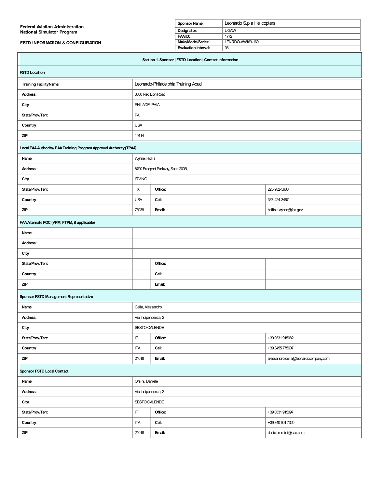| <b>Federal Aviation Administration</b>                              |                                     | <b>Sponsor Name:</b>                                     | Leonardo S.p.a Helicopters |
|---------------------------------------------------------------------|-------------------------------------|----------------------------------------------------------|----------------------------|
| <b>National Simulator Program</b>                                   |                                     | Designator:                                              | <b>UGAW</b>                |
|                                                                     |                                     | FAAID:                                                   | 1772                       |
| <b>FSTD INFORMATION &amp; CONFIGURATION</b>                         |                                     | Make/Model/Series:                                       | LENRDO-AW169-169           |
|                                                                     |                                     | <b>Evaluation Interval:</b>                              | 36                         |
|                                                                     |                                     | Section 1. Sponsor   FSTD Location   Contact Information |                            |
| <b>FSTD Location</b>                                                |                                     |                                                          |                            |
| <b>Training Facility Name:</b>                                      | Leonardo-Philadelphia Training Acad |                                                          |                            |
| Address:                                                            | 3050 Red Lion Road                  |                                                          |                            |
| <b>City</b>                                                         | <b>PHILADELPHIA</b>                 |                                                          |                            |
| State/Prov/Terr:                                                    | PA                                  |                                                          |                            |
| Country.                                                            | <b>USA</b>                          |                                                          |                            |
| ZIP:                                                                | 19114                               |                                                          |                            |
| Local FAA Authority/ FAA Training Program Approval Authority (TPAA) |                                     |                                                          |                            |
| Name:                                                               | Wynne, Hollis                       |                                                          |                            |
| Address:                                                            | 8700 Freeport Parkway, Suite 200B,  |                                                          |                            |
|                                                                     |                                     |                                                          |                            |

| <b>City</b>      | <b>IRVING</b> |         |                       |
|------------------|---------------|---------|-----------------------|
| State/Prov/Terr: | <b>TX</b>     | Office: | 225-932-5903          |
| Country.         | <b>USA</b>    | Cell:   | 337-424-3467          |
| ZIP:             | 75039         | Email:  | hollis.kwynne@faa.gov |
|                  |               |         |                       |

# **FAAAlternatePOC(APM, FTPM, if applicable)**

| Name:            |         |
|------------------|---------|
| Address:         |         |
| City.            |         |
| State/Prov/Terr: | Office: |
| Country.         | Cell:   |
| ZIP:             | Email:  |

### **Sponsor FSTD Management Representative**

| Name:                             |               | Cella, Alessandro   |                                      |  |
|-----------------------------------|---------------|---------------------|--------------------------------------|--|
| Address:                          |               | Via Indipendenza, 2 |                                      |  |
| <b>City.</b>                      | SESTO CALENDE |                     |                                      |  |
| State/Prov/Terr:                  | $\mathsf{I}$  | Office:             | +39 0331 915082                      |  |
| <b>Country.</b>                   | <b>ITA</b>    | Cell:               | +39 3455 775607                      |  |
| ZIP:                              | 21018         | Email:              | alessandro.cella@leonardocompany.com |  |
| <b>Sponsor FSTD Local Contact</b> |               |                     |                                      |  |

| Sponsor FSTD Local Contact |                      |                     |                        |  |
|----------------------------|----------------------|---------------------|------------------------|--|
| Name:                      |                      | Orsini, Daniele     |                        |  |
| Address:                   |                      | Via Indipendenza, 2 |                        |  |
| <b>City</b>                | <b>SESTO CALENDE</b> |                     |                        |  |
| State/Prov/Terr:           | $\mathsf{I}$         | Office:             | +39 0331 915097        |  |
| Country.                   | ITA                  | Cell:               | +39 340 601 7320       |  |
| ZIP:                       | 21018                | Email:              | daniele.orsini@cae.com |  |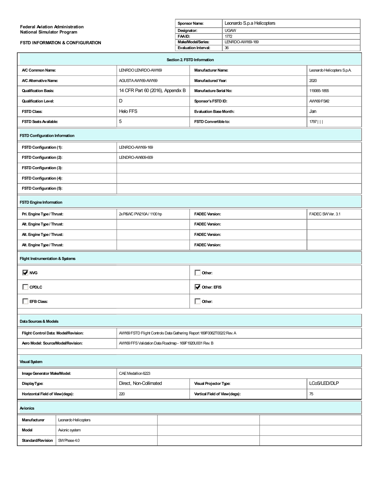| <b>Federal Aviation Administration</b>      | <b>Sponsor Name:</b> | Leonardo S.p.a Helicopters |
|---------------------------------------------|----------------------|----------------------------|
| <b>National Simulator Program</b>           | Designator:          | <b>UGAW</b>                |
|                                             | FAAID:               | 1772                       |
| <b>FSTD INFORMATION &amp; CONFIGURATION</b> | Make/Model/Series:   | LENRDO-AW169-169           |
|                                             | Evaluation Interval: | 36                         |
| ____________                                |                      |                            |

| Section 2. FSTD Information                 |                                                                        |                                     |                             |  |  |
|---------------------------------------------|------------------------------------------------------------------------|-------------------------------------|-----------------------------|--|--|
| A/C Common Name:                            | LENRDO LENRDO-AW169                                                    | Manufacturer Name:                  | Leonardo Helicopters S.p.A. |  |  |
| A/C Alternative Name:                       | AGUSTA AW169-AW169                                                     | <b>Manufactured Year:</b>           | 2020                        |  |  |
| <b>Qualification Basis:</b>                 | 14 CFR Part 60 (2016), Appendix B                                      | <b>Manufacture Serial No:</b>       | 119065-1855                 |  |  |
| <b>Qualification Level:</b>                 | D                                                                      | Sponsor's FSTD ID:                  | AW169 FS#2                  |  |  |
| <b>FSTD Class:</b>                          | <b>Helo FFS</b>                                                        | <b>Evaluation Base Month:</b>       | Jan                         |  |  |
| FSTD Seats Available:                       | 5                                                                      | FSTD Convertible to:                | $1797$                      |  |  |
| <b>FSTD Configuration Information</b>       |                                                                        |                                     |                             |  |  |
| FSTD Configuration (1):                     | LENRDO-AW169-169                                                       |                                     |                             |  |  |
| FSTD Configuration (2):                     | LENDRO-AW609-609                                                       |                                     |                             |  |  |
| FSTD Configuration (3):                     |                                                                        |                                     |                             |  |  |
| FSTD Configuration (4):                     |                                                                        |                                     |                             |  |  |
| FSTD Configuration (5):                     |                                                                        |                                     |                             |  |  |
| <b>FSTD Engine Information</b>              |                                                                        |                                     |                             |  |  |
| Pri. Engine Type / Thrust:                  | 2xP&WC PW210A / 1100 hp                                                | <b>FADEC Version:</b>               | FADEC SWVer. 3.1            |  |  |
| Alt. Engine Type / Thrust:                  |                                                                        | <b>FADEC Version:</b>               |                             |  |  |
| Alt. Engine Type / Thrust:                  |                                                                        | <b>FADEC Version:</b>               |                             |  |  |
| Alt. Engine Type / Thrust:                  |                                                                        | <b>FADEC Version:</b>               |                             |  |  |
| <b>Flight Instrumentation &amp; Systems</b> |                                                                        |                                     |                             |  |  |
| <b>V</b> NVG                                |                                                                        | $\overline{\phantom{a}}$ Other:     |                             |  |  |
| $\Box$ CPDLC                                |                                                                        | $\overline{\mathbf{V}}$ Other: EFIS |                             |  |  |
| <b>EFB Class:</b>                           |                                                                        | $\overline{\phantom{a}}$ Other:     |                             |  |  |
| Data Sources & Models                       |                                                                        |                                     |                             |  |  |
| Flight Control Data: Model/Revision:        | AW169 FSTD Flight Controls Data Gathering Report 169F0062T002/2 Rev. A |                                     |                             |  |  |
| Aero Model: Source/Model/Revision:          | AVV169 FFS Validation Data Roadmap - 169F1920U001 Rev. B               |                                     |                             |  |  |
| <b>Visual System</b>                        |                                                                        |                                     |                             |  |  |
| Image Generator Make/Model                  | CAE Medallion 6223                                                     |                                     |                             |  |  |

|                                 | CAE Medallion 6223<br>Image Generator Make/Model: |     |                        |                               |              |    |
|---------------------------------|---------------------------------------------------|-----|------------------------|-------------------------------|--------------|----|
| DisplayType:                    | Direct, Non-Collimated                            |     | Visual Projector Type: |                               | LCoS/LED/DLP |    |
| Horizontal Field of View(degs): |                                                   | 220 |                        | Vertical Field of View(degs): |              | 75 |
| Avionics                        |                                                   |     |                        |                               |              |    |
| Manufacturer                    | Leonardo Helicopters                              |     |                        |                               |              |    |
| <b>Model</b>                    | Avionic system                                    |     |                        |                               |              |    |
| Standard/Revision               | SW Phase 4.0                                      |     |                        |                               |              |    |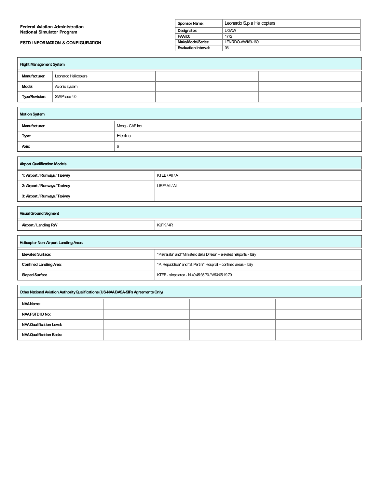| <b>Federal Aviation Administration</b>      | Sponsor Name:        | Leonardo S.p.a Helicopters |
|---------------------------------------------|----------------------|----------------------------|
| National Simulator Program                  | Designator:          | <b>UGAW</b>                |
|                                             | FAAID:               | 1772                       |
| <b>FSTD INFORMATION &amp; CONFIGURATION</b> | Make/Model/Series:   | LENRDO-AW169-169           |
|                                             | Evaluation Interval: | 36                         |

| <b>Flight Management System</b> |                      |  |  |
|---------------------------------|----------------------|--|--|
| <b>Manufacturer:</b>            | Leonardo Helicopters |  |  |
| Model:                          | Avionic system       |  |  |
| <b>Type/Revision:</b>           | SW Phase 4.0         |  |  |

| <b>Motion System</b> |                 |  |
|----------------------|-----------------|--|
| Manufacturer:        | Moog - CAE Inc. |  |
| Type:                | Electric        |  |
| Axis:                | 6               |  |

| <b>Airport Qualification Models</b> |              |  |
|-------------------------------------|--------------|--|
| 1: Airport / Runways / Taxiway.     | KTEB/AII/AI  |  |
| 2: Airport / Runways / Taxiway      | LIRF/AII/AII |  |
| 3: Airport / Runways / Taxiway      |              |  |
|                                     |              |  |

| <b>Visual Ground Segment</b> |         |
|------------------------------|---------|
| Airport / Landing RW         | KJFK/4R |
|                              |         |

| Helicopter Non-Airport Landing Areas |                                                                        |  |
|--------------------------------------|------------------------------------------------------------------------|--|
| Elevated Surface:                    | "Pietralata" and "Ministero della Difesa" - elevated heliports - Italy |  |
| <b>Confined Landing Area:</b>        | "P. Repubblica" and "S. Pertini" Hospital - confined areas - Italy     |  |
| <b>Sloped Surface</b>                | KTEB-slope area - N 40:45:35.70 / W74:05:19.70                         |  |

٦

| Other National Aviation Authority Qualifications (US-NAA BASA-SIPs Agreements Only) |  |  |  |
|-------------------------------------------------------------------------------------|--|--|--|
| NAA Name:                                                                           |  |  |  |
| <b>NAA FSTD ID No:</b>                                                              |  |  |  |
| <b>NAA Qualification Level:</b>                                                     |  |  |  |
| NAA Qualification Basis:                                                            |  |  |  |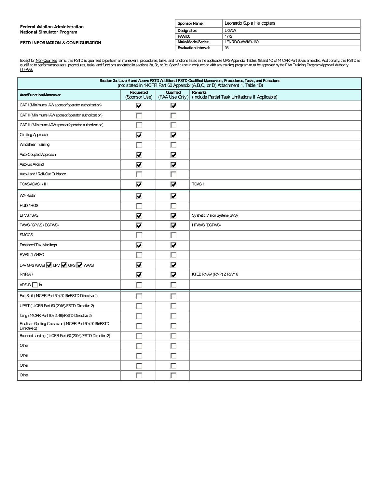| <b>Federal Aviation Administration</b>      | <b>Sponsor Name:</b>        | Leonardo S.p.a Helicopters |
|---------------------------------------------|-----------------------------|----------------------------|
| <b>National Simulator Program</b>           | Designator:                 | <b>UGAW</b>                |
|                                             | FAAID:                      | 1772                       |
| <b>FSTD INFORMATION &amp; CONFIGURATION</b> | Make/Model/Series:          | LENRDO-AW169-169           |
|                                             | <b>Evaluation Interval:</b> | 36                         |

Except for <u>Non-Qualified</u> items, this FSTD is qualified to performall maneuvers, procedures, tasks, and functions listed in the applicable QPS Appendix, Tables 1B and 1C of 14 CFR Part 60 as amended. Additionally, this FS

| Section 3a. Level 6 and Above FSTD Additional FSTD Qualified Maneuvers, Procedures, Tasks, and Functions<br>(not stated in 14CFR Part 60 Appendix (A,B,C, or D) Attachment 1, Table 1B) |                                 |                                 |                                                                    |
|-----------------------------------------------------------------------------------------------------------------------------------------------------------------------------------------|---------------------------------|---------------------------------|--------------------------------------------------------------------|
| Area/Function/Maneuver                                                                                                                                                                  | Requested<br>(Sponsor Use)      | Qualified<br>(FAA Use Only)     | <b>Remarks</b><br>(Include Partial Task Limitations if Applicable) |
| CAT I (Minimums IAW sponsor/operator authorization)                                                                                                                                     | $\overline{\mathbf{v}}$         | $\overline{\mathbf{v}}$         |                                                                    |
| CAT II (Minimums IAW sponsor/operator authorization)                                                                                                                                    | Г                               |                                 |                                                                    |
| CAT III (Minimums IAW sponsor/operator authorization)                                                                                                                                   | г                               | г                               |                                                                    |
| Circling Approach                                                                                                                                                                       | $\overline{\blacktriangledown}$ | $\overline{\blacktriangledown}$ |                                                                    |
| <b>Windshear Training</b>                                                                                                                                                               | Г                               | г                               |                                                                    |
| Auto-Coupled Approach                                                                                                                                                                   | $\overline{\mathbf{v}}$         | $\overline{\mathbf{v}}$         |                                                                    |
| Auto Go Around                                                                                                                                                                          | $\overline{\blacktriangledown}$ | $\overline{\blacktriangledown}$ |                                                                    |
| Auto-Land / Roll-Out Guidance                                                                                                                                                           | г                               |                                 |                                                                    |
| TCAS/ACAS I / II II                                                                                                                                                                     | $\overline{\mathbf{v}}$         | $\overline{\mathbf{v}}$         | <b>TCASII</b>                                                      |
| WX-Radar                                                                                                                                                                                | $\overline{\blacktriangledown}$ | $\overline{\blacktriangledown}$ |                                                                    |
| HUD/HGS                                                                                                                                                                                 | Г                               | L                               |                                                                    |
| EFVS/SVS                                                                                                                                                                                | $\overline{\mathbf{v}}$         | $\overline{\blacktriangledown}$ | Synthetic Vision System (SVS)                                      |
| TAWS (GPWS / EGPWS)                                                                                                                                                                     | $\overline{\blacktriangledown}$ | $\overline{\blacktriangledown}$ | HTAWS (EGPWS)                                                      |
| <b>SMGCS</b>                                                                                                                                                                            | г                               |                                 |                                                                    |
| <b>Enhanced Taxi Markings</b>                                                                                                                                                           | $\overline{\mathbf{v}}$         | $\overline{\mathbf{v}}$         |                                                                    |
| RWSL/LAHSO                                                                                                                                                                              | г                               | г                               |                                                                    |
| LPV GPS WAAS $\boxed{\blacktriangledown}$ LPV $\boxed{\blacktriangledown}$ GPS $\boxed{\blacktriangledown}$ WAAS                                                                        | $\overline{\blacktriangledown}$ | $\overline{\blacktriangledown}$ |                                                                    |
| RNP/AR                                                                                                                                                                                  | $\overline{\blacktriangledown}$ | $\overline{\mathbf{v}}$         | KTEB RNAV (RNP) Z RWY 6                                            |
| $ADS-B$ In                                                                                                                                                                              | г                               |                                 |                                                                    |
| Full Stall (14CFR Part 60 (2016)/FSTD Directive 2)                                                                                                                                      | г                               |                                 |                                                                    |
| UPRT (14CFR Part 60 (2016)/FSTD Directive 2)                                                                                                                                            | г                               |                                 |                                                                    |
| Icing (14CFR Part 60 (2016)/FSTD Directive 2)                                                                                                                                           | Г                               |                                 |                                                                    |
| Realistic Gusting Crosswind (14CFR Part 60 (2016)/FSTD<br>Directive 2)                                                                                                                  |                                 |                                 |                                                                    |
| Bounced Landing (14CFR Part 60 (2016)/FSTD Directive 2)                                                                                                                                 | г                               |                                 |                                                                    |
| Other                                                                                                                                                                                   | Г                               |                                 |                                                                    |
| Other                                                                                                                                                                                   | г                               | г                               |                                                                    |
| Other                                                                                                                                                                                   | L                               |                                 |                                                                    |
| Other                                                                                                                                                                                   | г                               |                                 |                                                                    |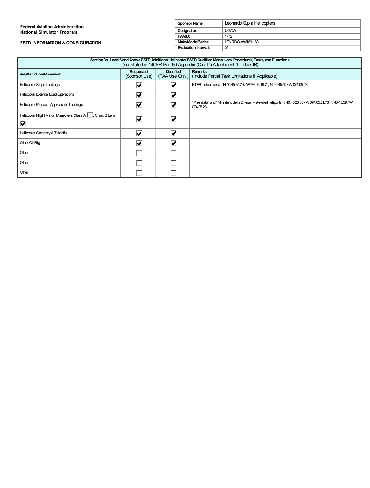### **FSTD INFORMATION & CONFIGURATION**

| <b>Sponsor Name:</b> | Leonardo S.p.a Helicopters |  |  |
|----------------------|----------------------------|--|--|
| Designator:          | <b>UGAW</b>                |  |  |
| FAAID:               | 1772                       |  |  |
| Make/Model/Series:   | LENRDO-AW169-169           |  |  |
| Evaluation Interval: | 36                         |  |  |

| Section 3b. Level 6 and Above FSTD Additional Helicopter FSTD Qualified Maneuvers, Procedures, Tasks, and Functions<br>(not stated in 14CFR Part 60 Appendix (C or D) Attachment 1, Table 1B) |                                 |                         |                                                                                                                            |
|-----------------------------------------------------------------------------------------------------------------------------------------------------------------------------------------------|---------------------------------|-------------------------|----------------------------------------------------------------------------------------------------------------------------|
| <b>Area/Function/Maneuver</b>                                                                                                                                                                 | Requested<br>(Sponsor Use)      | Qualified               | <b>Remarks</b><br>(FAA Use Only) (Include Partial Task Limitations if Applicable)                                          |
| <b>Helicopter Slope Landings</b>                                                                                                                                                              | ☑                               | M                       | KTEB-slope area - N 40:45:35.70 / W074:05:19.70; N 40.45.59 / W074.05.23                                                   |
| Helicopter External Load Operations                                                                                                                                                           | $\overline{\mathbf{v}}$         | $\overline{\mathbf{V}}$ |                                                                                                                            |
| Helicopter Pinnacle Approach to Landings                                                                                                                                                      | $\overline{\mathbf{v}}$         | ☑                       | "Pietralata" and "Ministero della Difesa" – elevated heliports N 40:45:28.85 / W 074:05:21.73; N 40.45.59 / W<br>074.05.23 |
| Helicopter Night Vision Maneuvers Class A   Class B Lens<br>⊽                                                                                                                                 | $\overline{\blacktriangledown}$ | $\overline{\mathbf{v}}$ |                                                                                                                            |
| Helicopter Category A Takeoffs                                                                                                                                                                | $\overline{\mathbf{v}}$         | $\overline{\mathbf{v}}$ |                                                                                                                            |
| Other Oil Rig                                                                                                                                                                                 | $\overline{\mathbf{v}}$         | ∇                       |                                                                                                                            |
| Other                                                                                                                                                                                         |                                 |                         |                                                                                                                            |
| Other                                                                                                                                                                                         |                                 |                         |                                                                                                                            |
| Other                                                                                                                                                                                         |                                 |                         |                                                                                                                            |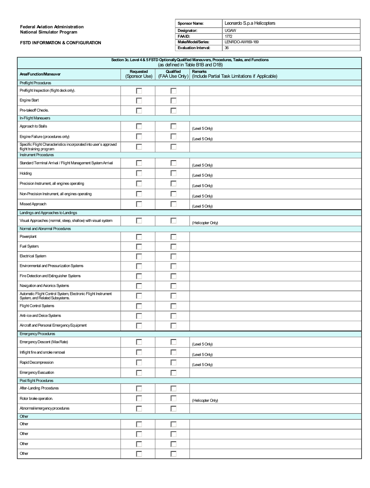**FSTD INFORMATION & CONFIGURATION**

| <b>Sponsor Name:</b> | Leonardo S.p.a Helicopters |  |  |
|----------------------|----------------------------|--|--|
| Designator:          | <b>UGAW</b>                |  |  |
| FAAID:               | 1772                       |  |  |
| Make/Model/Series:   | LENRDO-AW169-169           |  |  |
| Evaluation Interval: | 36                         |  |  |

| Section 3c. Level 4 & 5 FSTD Optionally Qualified Maneuvers, Procedures, Tasks, and Functions<br>(as defined in Table B1B and D1B) |                            |           |                                                                              |
|------------------------------------------------------------------------------------------------------------------------------------|----------------------------|-----------|------------------------------------------------------------------------------|
| Area/Function/Maneuver                                                                                                             | Requested<br>(Sponsor Use) | Qualified | Remarks<br>(FAA Use Only)   (Include Partial Task Limitations if Applicable) |
| Preflight Procedures                                                                                                               |                            |           |                                                                              |
| Preflight Inspection (flight deck only).                                                                                           | L.                         | L.        |                                                                              |
| <b>Engine Start</b>                                                                                                                | г                          |           |                                                                              |
| Pre-takeoff Checks.                                                                                                                | г                          |           |                                                                              |
| In-Flight Maneuvers                                                                                                                |                            |           |                                                                              |
| Approach to Stalls                                                                                                                 | г                          | Г         | (Level 5 Only)                                                               |
| Engine Failure (procedures only)                                                                                                   | Г                          |           | (Level 5 Only)                                                               |
| Specific Flight Characteristics incorporated into user's approved<br>flight training program                                       | г                          | г         |                                                                              |
| <b>Instrument Procedures</b>                                                                                                       |                            |           |                                                                              |
| Standard Terminal Arrival / Flight Management System Arrival                                                                       | Г                          |           | (Level 5 Only)                                                               |
| Holding                                                                                                                            | Г                          |           | (Level 5 Only)                                                               |
| Precision Instrument, all engines operating                                                                                        | г                          |           | (Level 5 Only)                                                               |
| Non-Precision Instrument, all engines operating                                                                                    | г                          |           | (Level 5 Only)                                                               |
| Missed Approach                                                                                                                    | L.                         |           | (Level 5 Only)                                                               |
| Landings and Approaches to Landings                                                                                                |                            |           |                                                                              |
| Visual Approaches (normal, steep, shallow) with visual system                                                                      | г                          | Е         | (Helicopter Only)                                                            |
| Normal and Abnormal Procedures                                                                                                     |                            |           |                                                                              |
| Powerplant                                                                                                                         | г                          |           |                                                                              |
| Fuel System.                                                                                                                       | г                          |           |                                                                              |
| <b>Electrical System</b>                                                                                                           | L                          |           |                                                                              |
| Environmental and Pressurization Systems                                                                                           | E                          | L         |                                                                              |
| Fire Detection and Extinguisher Systems                                                                                            |                            |           |                                                                              |
| Navigation and Avionics Systems                                                                                                    |                            |           |                                                                              |
| Automatic Flight Control System, Electronic Flight Instrument<br>System, and Related Subsystems.                                   | Г                          | L         |                                                                              |
| <b>Flight Control Systems</b>                                                                                                      | Г                          |           |                                                                              |
| Anti-ice and Deice Systems                                                                                                         |                            |           |                                                                              |
| Aircraft and Personal Emergency Equipment                                                                                          | Г                          | г         |                                                                              |
| <b>Emergency Procedures</b>                                                                                                        |                            |           |                                                                              |
| Emergency Descent (Max Rate)                                                                                                       | Г                          | 匚         | (Level 5 Only)                                                               |
| Inflight fire and smoke removal                                                                                                    | П                          | Г         | (Level 5 Only)                                                               |
| Rapid Decompression                                                                                                                | Г                          | Г         | (Level 5 Only)                                                               |
| Emergency Evacuation                                                                                                               | Г                          | 口         |                                                                              |
| Post flight Procedures                                                                                                             |                            |           |                                                                              |
| After-Landing Procedures                                                                                                           | г                          |           |                                                                              |
| Rotor brake operation.                                                                                                             | Г                          | Г         | (Helicopter Only)                                                            |
| Abnormal/emergency procedures                                                                                                      | Г                          | г         |                                                                              |
| Other                                                                                                                              |                            |           |                                                                              |
| Other                                                                                                                              | Г                          | Г         |                                                                              |
| Other                                                                                                                              | Е                          | г         |                                                                              |
| Other                                                                                                                              | г                          |           |                                                                              |
| Other                                                                                                                              | Г                          | Е         |                                                                              |